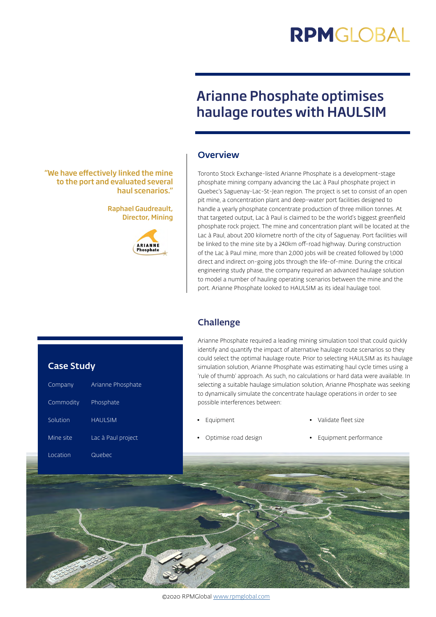# **RPMGIOBAL**

## Arianne Phosphate optimises haulage routes with HAULSIM

#### **Overview**

Toronto Stock Exchange-listed Arianne Phosphate is a development-stage phosphate mining company advancing the Lac à Paul phosphate project in Quebec's Saguenay-Lac-St-Jean region. The project is set to consist of an open pit mine, a concentration plant and deep-water port facilities designed to handle a yearly phosphate concentrate production of three million tonnes. At that targeted output, Lac à Paul is claimed to be the world's biggest greenfield phosphate rock project. The mine and concentration plant will be located at the Lac à Paul, about 200 kilometre north of the city of Saguenay. Port facilities will be linked to the mine site by a 240km off-road highway. During construction of the Lac à Paul mine, more than 2,000 jobs will be created followed by 1,000 direct and indirect on-going jobs through the life-of-mine. During the critical engineering study phase, the company required an advanced haulage solution to model a number of hauling operating scenarios between the mine and the port. Arianne Phosphate looked to HAULSIM as its ideal haulage tool.

#### **Challenge**

Arianne Phosphate required a leading mining simulation tool that could quickly identify and quantify the impact of alternative haulage route scenarios so they could select the optimal haulage route. Prior to selecting HAULSIM as its haulage simulation solution, Arianne Phosphate was estimating haul cycle times using a 'rule of thumb' approach. As such, no calculations or hard data were available. In selecting a suitable haulage simulation solution, Arianne Phosphate was seeking to dynamically simulate the concentrate haulage operations in order to see possible interferences between:

**Equipment** 

- Validate fleet size
- Optimise road design
- Equipment performance

**ARIANNI**<br>Phosphate

"We have effectively linked the mine to the port and evaluated several

haul scenarios."

Raphael Gaudreault, Director, Mining

#### Case Study

| Company   | Arianne Phosphate  |
|-----------|--------------------|
| Commodity | Phosphate          |
| Solution  | <b>HAULSIM</b>     |
| Mine site | Lac à Paul project |
| Location  | Quebec             |
|           |                    |



©2020 RPMGlobal [www.rpmglobal.com](http://www.rpmglobal.com)